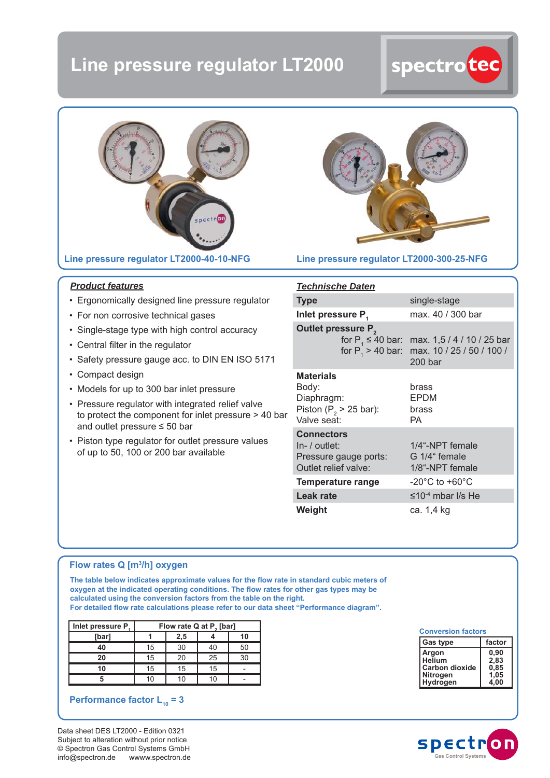# **Line pressure regulator LT2000**





#### **Line pressure regulator LT2000-40-10-NFG**



#### **Line pressure regulator LT2000-300-25-NFG**

#### *Product features*

- Ergonomically designed line pressure regulator
- For non corrosive technical gases
- Single-stage type with high control accuracy
- Central filter in the regulator
- Safety pressure gauge acc. to DIN EN ISO 5171
- Compact design
- Models for up to 300 bar inlet pressure
- Pressure regulator with integrated relief valve to protect the component for inlet pressure > 40 bar and outlet pressure ≤ 50 bar
- Piston type regulator for outlet pressure values of up to 50, 100 or 200 bar available

#### *Technische Daten*

| <b>Type</b>                                                                           | single-stage                                                                                                                        |  |  |  |
|---------------------------------------------------------------------------------------|-------------------------------------------------------------------------------------------------------------------------------------|--|--|--|
| Inlet pressure P <sub>1</sub>                                                         | max. 40 / 300 bar                                                                                                                   |  |  |  |
| Outlet pressure P <sub>2</sub>                                                        | for P <sub>1</sub> $\leq$ 40 bar: max. 1,5 / 4 / 10 / 25 bar<br>for $P_1 > 40$ bar: max. 10 / 25 / 50 / 100 /<br>200 <sub>bar</sub> |  |  |  |
| <b>Materials</b><br>Body:<br>Diaphragm:<br>Piston ( $P2$ > 25 bar):<br>Valve seat:    | brass<br><b>EPDM</b><br>brass<br>РA                                                                                                 |  |  |  |
| <b>Connectors</b><br>$In-$ / outlet:<br>Pressure gauge ports:<br>Outlet relief valve: | 1/4"-NPT female<br>G 1/4" female<br>1/8"-NPT female                                                                                 |  |  |  |
| Temperature range                                                                     | $-20^{\circ}$ C to $+60^{\circ}$ C                                                                                                  |  |  |  |
| Leak rate                                                                             | $\leq 10^{-4}$ mbar I/s He                                                                                                          |  |  |  |
| Weight                                                                                | ca. 1,4 kg                                                                                                                          |  |  |  |

#### **Flow rates Q [m3 /h] oxygen**

The table below indicates approximate values for the flow rate in standard cubic meters of oxygen at the indicated operating conditions. The flow rates for other gas types may be **calculated using the conversion factors from the table on the right.**  For detailed flow rate calculations please refer to our data sheet "Performance diagram".

| Inlet pressure P. | Flow rate Q at P <sub>2</sub> [bar] |     |    |    |  |  |
|-------------------|-------------------------------------|-----|----|----|--|--|
| [bar]             |                                     | 2,5 |    | 10 |  |  |
| 40                | 15                                  | 30  | 40 | 50 |  |  |
| 20                | 15                                  | 20  | 25 | 30 |  |  |
|                   | 15                                  | 15  | 15 |    |  |  |
|                   | 10                                  |     |    |    |  |  |

### **Performance factor**  $L_{10} = 3$

Data sheet DES LT2000 - Edition 0321 Subject to alteration without prior notice © Spectron Gas Control Systems GmbH info@spectron.de wwww.spectron.de